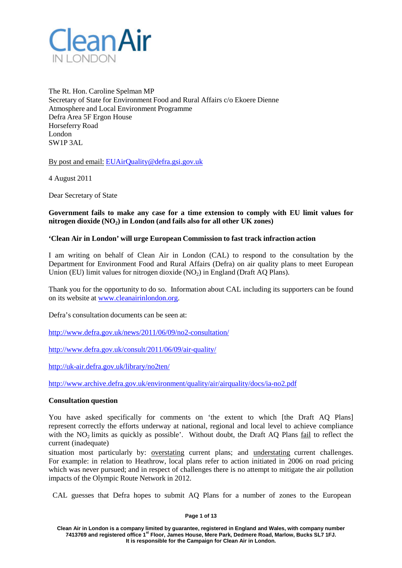

The Rt. Hon. Caroline Spelman MP Secretary of State for Environment Food and Rural Affairs c/o Ekoere Dienne Atmosphere and Local Environment Programme Defra Area 5F Ergon House Horseferry Road London SW1P 3AL

By post and email: [EUAirQuality@defra.gsi.gov.uk](mailto:EUAirQuality@defra.gsi.gov.uk)

4 August 2011

Dear Secretary of State

## **Government fails to make any case for a time extension to comply with EU limit values for nitrogen dioxide (NO2) in London (and fails also for all other UK zones)**

## **'Clean Air in London' will urge European Commission to fast track infraction action**

I am writing on behalf of Clean Air in London (CAL) to respond to the consultation by the Department for Environment Food and Rural Affairs (Defra) on air quality plans to meet European Union (EU) limit values for nitrogen dioxide  $(NO<sub>2</sub>)$  in England (Draft AO Plans).

Thank you for the opportunity to do so. Information about CAL including its supporters can be found on its website at [www.cleanairinlondon.org.](http://www.cleanairinlondon.org/)

Defra's consultation documents can be seen at:

<http://www.defra.gov.uk/news/2011/06/09/no2-consultation/>

<http://www.defra.gov.uk/consult/2011/06/09/air-quality/>

<http://uk-air.defra.gov.uk/library/no2ten/>

<http://www.archive.defra.gov.uk/environment/quality/air/airquality/docs/ia-no2.pdf>

## **Consultation question**

You have asked specifically for comments on 'the extent to which [the Draft AQ Plans] represent correctly the efforts underway at national, regional and local level to achieve compliance with the NO<sub>2</sub> limits as quickly as possible'. Without doubt, the Draft AO Plans fail to reflect the current (inadequate)

situation most particularly by: overstating current plans; and understating current challenges. For example: in relation to Heathrow, local plans refer to action initiated in 2006 on road pricing which was never pursued; and in respect of challenges there is no attempt to mitigate the air pollution impacts of the Olympic Route Network in 2012.

CAL guesses that Defra hopes to submit AQ Plans for a number of zones to the European

### **Page 1 of 13**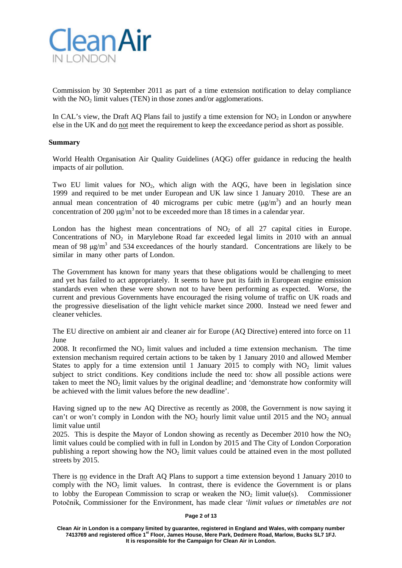

Commission by 30 September 2011 as part of a time extension notification to delay compliance with the  $NO<sub>2</sub>$  limit values (TEN) in those zones and/or agglomerations.

In CAL's view, the Draft AO Plans fail to justify a time extension for  $NO<sub>2</sub>$  in London or anywhere else in the UK and do not meet the requirement to keep the exceedance period as short as possible.

### **Summary**

World Health Organisation Air Quality Guidelines (AQG) offer guidance in reducing the health impacts of air pollution.

Two EU limit values for  $NO<sub>2</sub>$ , which align with the AQG, have been in legislation since 1999 and required to be met under European and UK law since 1 January 2010. These are an annual mean concentration of 40 micrograms per cubic metre  $(\mu g/m^3)$  and an hourly mean concentration of 200  $\mu$ g/m<sup>3</sup> not to be exceeded more than 18 times in a calendar year.

London has the highest mean concentrations of  $NO<sub>2</sub>$  of all 27 capital cities in Europe. Concentrations of  $NO<sub>2</sub>$  in Marylebone Road far exceeded legal limits in 2010 with an annual mean of 98  $\mu$ g/m<sup>3</sup> and 534 exceedances of the hourly standard. Concentrations are likely to be similar in many other parts of London.

The Government has known for many years that these obligations would be challenging to meet and yet has failed to act appropriately. It seems to have put its faith in European engine emission standards even when these were shown not to have been performing as expected. Worse, the current and previous Governments have encouraged the rising volume of traffic on UK roads and the progressive dieselisation of the light vehicle market since 2000. Instead we need fewer and cleaner vehicles.

The EU directive on ambient air and cleaner air for Europe (AQ Directive) entered into force on 11 June

2008. It reconfirmed the  $NO<sub>2</sub>$  limit values and included a time extension mechanism. The time extension mechanism required certain actions to be taken by 1 January 2010 and allowed Member States to apply for a time extension until 1 January 2015 to comply with  $NO<sub>2</sub>$  limit values subject to strict conditions. Key conditions include the need to: show all possible actions were taken to meet the  $NO<sub>2</sub>$  limit values by the original deadline; and 'demonstrate how conformity will be achieved with the limit values before the new deadline'.

Having signed up to the new AQ Directive as recently as 2008, the Government is now saying it can't or won't comply in London with the  $NO<sub>2</sub>$  hourly limit value until 2015 and the  $NO<sub>2</sub>$  annual limit value until

2025. This is despite the Mayor of London showing as recently as December 2010 how the  $NO<sub>2</sub>$ limit values could be complied with in full in London by 2015 and The City of London Corporation publishing a report showing how the  $NO<sub>2</sub>$  limit values could be attained even in the most polluted streets by 2015.

There is no evidence in the Draft AQ Plans to support a time extension beyond 1 January 2010 to comply with the  $NO<sub>2</sub>$  limit values. In contrast, there is evidence the Government is or plans to lobby the European Commission to scrap or weaken the  $NO<sub>2</sub>$  limit value(s). Commissioner Potočnik, Commissioner for the Environment, has made clear *'limit values or timetables are not*

### **Page 2 of 13**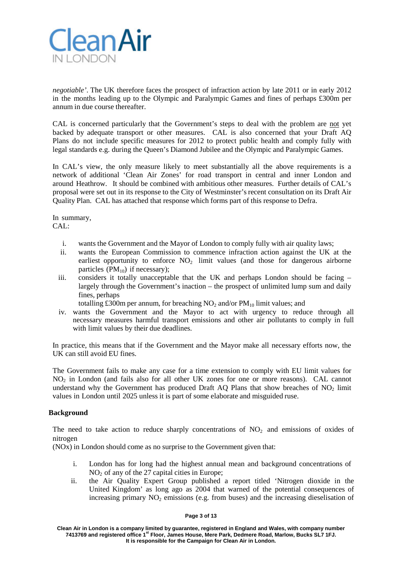

*negotiable'*. The UK therefore faces the prospect of infraction action by late 2011 or in early 2012 in the months leading up to the Olympic and Paralympic Games and fines of perhaps £300m per annum in due course thereafter.

CAL is concerned particularly that the Government's steps to deal with the problem are not yet backed by adequate transport or other measures. CAL is also concerned that your Draft AQ Plans do not include specific measures for 2012 to protect public health and comply fully with legal standards e.g. during the Queen's Diamond Jubilee and the Olympic and Paralympic Games.

In CAL's view, the only measure likely to meet substantially all the above requirements is a network of additional 'Clean Air Zones' for road transport in central and inner London and around Heathrow. It should be combined with ambitious other measures. Further details of CAL's proposal were set out in its response to the City of Westminster's recent consultation on its Draft Air Quality Plan. CAL has attached that response which forms part of this response to Defra.

In summary, CAL:

- i. wants the Government and the Mayor of London to comply fully with air quality laws;
- ii. wants the European Commission to commence infraction action against the UK at the earliest opportunity to enforce  $NO<sub>2</sub>$  limit values (and those for dangerous airborne particles  $(PM_{10})$  if necessary);
- iii. considers it totally unacceptable that the UK and perhaps London should be facing largely through the Government's inaction – the prospect of unlimited lump sum and daily fines, perhaps

totalling £300m per annum, for breaching  $NO_2$  and/or  $PM_{10}$  limit values; and

iv. wants the Government and the Mayor to act with urgency to reduce through all necessary measures harmful transport emissions and other air pollutants to comply in full with limit values by their due deadlines.

In practice, this means that if the Government and the Mayor make all necessary efforts now, the UK can still avoid EU fines.

The Government fails to make any case for a time extension to comply with EU limit values for NO2 in London (and fails also for all other UK zones for one or more reasons). CAL cannot understand why the Government has produced Draft AQ Plans that show breaches of  $NO<sub>2</sub>$  limit values in London until 2025 unless it is part of some elaborate and misguided ruse.

## **Background**

The need to take action to reduce sharply concentrations of  $NO<sub>2</sub>$  and emissions of oxides of nitrogen

(NOx) in London should come as no surprise to the Government given that:

- i. London has for long had the highest annual mean and background concentrations of  $NO<sub>2</sub>$  of any of the 27 capital cities in Europe;
- ii. the Air Quality Expert Group published a report titled 'Nitrogen dioxide in the United Kingdom' as long ago as 2004 that warned of the potential consequences of increasing primary  $NO<sub>2</sub>$  emissions (e.g. from buses) and the increasing dieselisation of

### **Page 3 of 13**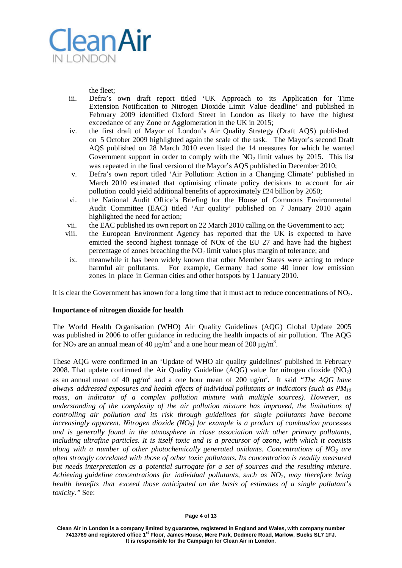

the fleet;

- iii. Defra's own draft report titled 'UK Approach to its Application for Time Extension Notification to Nitrogen Dioxide Limit Value deadline' and published in February 2009 identified Oxford Street in London as likely to have the highest exceedance of any Zone or Agglomeration in the UK in 2015;
- iv. the first draft of Mayor of London's Air Quality Strategy (Draft AQS) published on 5 October 2009 highlighted again the scale of the task. The Mayor's second Draft AQS published on 28 March 2010 even listed the 14 measures for which he wanted Government support in order to comply with the  $NO<sub>2</sub>$  limit values by 2015. This list was repeated in the final version of the Mayor's AQS published in December 2010;
- v. Defra's own report titled 'Air Pollution: Action in a Changing Climate' published in March 2010 estimated that optimising climate policy decisions to account for air pollution could yield additional benefits of approximately  $£24$  billion by 2050;
- vi. the National Audit Office's Briefing for the House of Commons Environmental Audit Committee (EAC) titled 'Air quality' published on 7 January 2010 again highlighted the need for action;
- vii. the EAC published its own report on 22 March 2010 calling on the Government to act;
- viii. the European Environment Agency has reported that the UK is expected to have emitted the second highest tonnage of NOx of the EU 27 and have had the highest percentage of zones breaching the  $NO<sub>2</sub>$  limit values plus margin of tolerance; and
- ix. meanwhile it has been widely known that other Member States were acting to reduce harmful air pollutants. For example, Germany had some 40 inner low emission zones in place in German cities and other hotspots by 1 January 2010.

It is clear the Government has known for a long time that it must act to reduce concentrations of  $NO<sub>2</sub>$ .

## **Importance of nitrogen dioxide for health**

The World Health Organisation (WHO) Air Quality Guidelines (AQG) Global Update 2005 was published in 2006 to offer guidance in reducing the health impacts of air pollution. The AQG for NO<sub>2</sub> are an annual mean of 40  $\mu$ g/m<sup>3</sup> and a one hour mean of 200  $\mu$ g/m<sup>3</sup>.

These AQG were confirmed in an 'Update of WHO air quality guidelines' published in February 2008. That update confirmed the Air Quality Guideline (AQG) value for nitrogen dioxide  $(NO<sub>2</sub>)$ as an annual mean of 40 μg/m3 and a one hour mean of 200 ug/m3 . It said *"The AQG have always addressed exposures and health effects of individual pollutants or indicators (such as PM10 mass, an indicator of a complex pollution mixture with multiple sources). However, as understanding of the complexity of the air pollution mixture has improved, the limitations of controlling air pollution and its risk through guidelines for single pollutants have become increasingly apparent. Nitrogen dioxide (NO2) for example is a product of combustion processes and is generally found in the atmosphere in close association with other primary pollutants, including ultrafine particles. It is itself toxic and is a precursor of ozone, with which it coexists along with a number of other photochemically generated oxidants. Concentrations of NO2 are often strongly correlated with those of other toxic pollutants. Its concentration is readily measured but needs interpretation as a potential surrogate for a set of sources and the resulting mixture. Achieving guideline concentrations for individual pollutants, such as NO2, may therefore bring health benefits that exceed those anticipated on the basis of estimates of a single pollutant's toxicity."* See: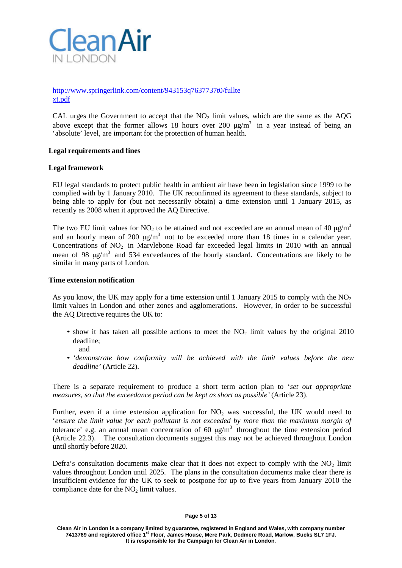

# [http://www.springerlink.com/content/943153q7637737t0/fullte](http://www.springerlink.com/content/943153q7637737t0/fulltext.pdf) [xt.pdf](http://www.springerlink.com/content/943153q7637737t0/fulltext.pdf)

CAL urges the Government to accept that the  $NO<sub>2</sub>$  limit values, which are the same as the AQG above except that the former allows 18 hours over 200  $\mu$ g/m<sup>3</sup> in a year instead of being an 'absolute' level, are important for the protection of human health.

## **Legal requirements and fines**

### **Legal framework**

EU legal standards to protect public health in ambient air have been in legislation since 1999 to be complied with by 1 January 2010. The UK reconfirmed its agreement to these standards, subject to being able to apply for (but not necessarily obtain) a time extension until 1 January 2015, as recently as 2008 when it approved the AQ Directive.

The two EU limit values for NO<sub>2</sub> to be attained and not exceeded are an annual mean of 40  $\mu$ g/m<sup>3</sup> and an hourly mean of 200  $\mu$ g/m<sup>3</sup> not to be exceeded more than 18 times in a calendar year. Concentrations of  $NO<sub>2</sub>$  in Marylebone Road far exceeded legal limits in 2010 with an annual mean of 98  $\mu$ g/m<sup>3</sup> and 534 exceedances of the hourly standard. Concentrations are likely to be similar in many parts of London.

### **Time extension notification**

As you know, the UK may apply for a time extension until 1 January 2015 to comply with the  $NO<sub>2</sub>$ limit values in London and other zones and agglomerations. However, in order to be successful the AQ Directive requires the UK to:

- show it has taken all possible actions to meet the  $NO<sub>2</sub>$  limit values by the original 2010 deadline; and
- *'demonstrate how conformity will be achieved with the limit values before the new deadline'* (Article 22).

There is a separate requirement to produce a short term action plan to '*set out appropriate measures, so that the exceedance period can be kept as short as possible'* (Article 23).

Further, even if a time extension application for  $NO<sub>2</sub>$  was successful, the UK would need to '*ensure the limit value for each pollutant is not exceeded by more than the maximum margin of* tolerance' e.g. an annual mean concentration of 60  $\mu$ g/m<sup>3</sup> throughout the time extension period (Article 22.3). The consultation documents suggest this may not be achieved throughout London until shortly before 2020.

Defra's consultation documents make clear that it does not expect to comply with the  $NO<sub>2</sub>$  limit values throughout London until 2025. The plans in the consultation documents make clear there is insufficient evidence for the UK to seek to postpone for up to five years from January 2010 the compliance date for the  $NO<sub>2</sub>$  limit values.

#### **Page 5 of 13**

**Clean Air in London is a company limited by guarantee, registered in England and Wales, with company number 7413769 and registered office 1st Floor, James House, Mere Park, Dedmere Road, Marlow, Bucks SL7 1FJ. It is responsible for the Campaign for Clean Air in London.**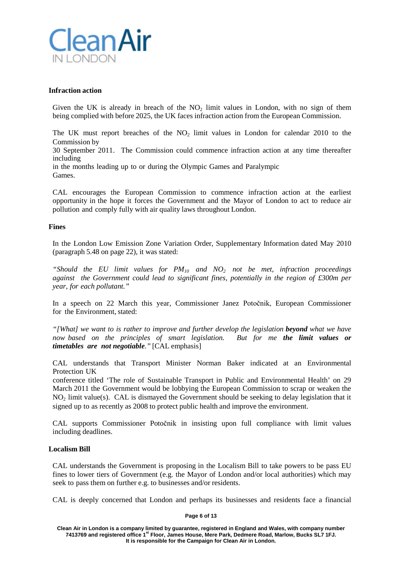

### **Infraction action**

Given the UK is already in breach of the  $NO<sub>2</sub>$  limit values in London, with no sign of them being complied with before 2025, the UK faces infraction action from the European Commission.

The UK must report breaches of the  $NO<sub>2</sub>$  limit values in London for calendar 2010 to the Commission by

30 September 2011. The Commission could commence infraction action at any time thereafter including

in the months leading up to or during the Olympic Games and Paralympic Games.

CAL encourages the European Commission to commence infraction action at the earliest opportunity in the hope it forces the Government and the Mayor of London to act to reduce air pollution and comply fully with air quality laws throughout London.

### **Fines**

In the London Low Emission Zone Variation Order, Supplementary Information dated May 2010 (paragraph 5.48 on page 22), it was stated:

"Should the EU limit values for  $PM_{10}$  and  $NO_2$  not be met, infraction proceedings *against the Government could lead to significant fines, potentially in the region of £300m per year, for each pollutant."*

In a speech on 22 March this year, Commissioner Janez Potočnik, European Commissioner for the Environment, stated:

*"[What] we want to is rather to improve and further develop the legislation beyond what we have now based on the principles of smart legislation. But for me the limit values or timetables are not negotiable."* [CAL emphasis]

CAL understands that Transport Minister Norman Baker indicated at an Environmental Protection UK

conference titled 'The role of Sustainable Transport in Public and Environmental Health' on 29 March 2011 the Government would be lobbying the European Commission to scrap or weaken the  $NO<sub>2</sub>$  limit value(s). CAL is dismayed the Government should be seeking to delay legislation that it signed up to as recently as 2008 to protect public health and improve the environment.

CAL supports Commissioner Potočnik in insisting upon full compliance with limit values including deadlines.

### **Localism Bill**

CAL understands the Government is proposing in the Localism Bill to take powers to be pass EU fines to lower tiers of Government (e.g. the Mayor of London and/or local authorities) which may seek to pass them on further e.g. to businesses and/or residents.

CAL is deeply concerned that London and perhaps its businesses and residents face a financial

### **Page 6 of 13**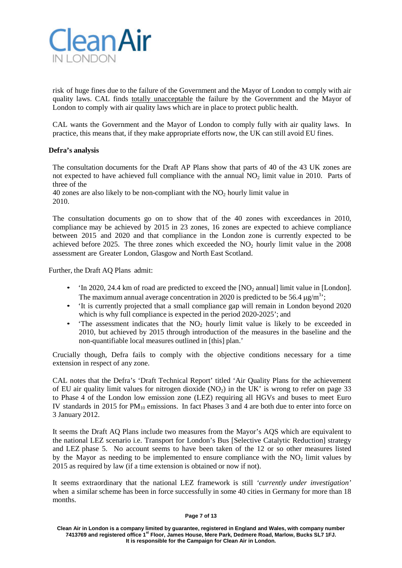

risk of huge fines due to the failure of the Government and the Mayor of London to comply with air quality laws. CAL finds totally unacceptable the failure by the Government and the Mayor of London to comply with air quality laws which are in place to protect public health.

CAL wants the Government and the Mayor of London to comply fully with air quality laws. In practice, this means that, if they make appropriate efforts now, the UK can still avoid EU fines.

## **Defra's analysis**

The consultation documents for the Draft AP Plans show that parts of 40 of the 43 UK zones are not expected to have achieved full compliance with the annual  $NO<sub>2</sub>$  limit value in 2010. Parts of three of the

40 zones are also likely to be non-compliant with the  $NO<sub>2</sub>$  hourly limit value in 2010.

The consultation documents go on to show that of the 40 zones with exceedances in 2010, compliance may be achieved by 2015 in 23 zones, 16 zones are expected to achieve compliance between 2015 and 2020 and that compliance in the London zone is currently expected to be achieved before 2025. The three zones which exceeded the  $NO<sub>2</sub>$  hourly limit value in the 2008 assessment are Greater London, Glasgow and North East Scotland.

Further, the Draft AQ Plans admit:

- 'In 2020, 24.4 km of road are predicted to exceed the  $[NO<sub>2</sub>$  annual] limit value in [London]. The maximum annual average concentration in 2020 is predicted to be 56.4  $\mu$ g/m<sup>3</sup>;
- 'It is currently projected that a small compliance gap will remain in London beyond 2020 which is why full compliance is expected in the period 2020-2025'; and
- The assessment indicates that the  $NO<sub>2</sub>$  hourly limit value is likely to be exceeded in 2010, but achieved by 2015 through introduction of the measures in the baseline and the non-quantifiable local measures outlined in [this] plan.'

Crucially though, Defra fails to comply with the objective conditions necessary for a time extension in respect of any zone.

CAL notes that the Defra's 'Draft Technical Report' titled 'Air Quality Plans for the achievement of EU air quality limit values for nitrogen dioxide (NO<sub>2</sub>) in the UK' is wrong to refer on page 33 to Phase 4 of the London low emission zone (LEZ) requiring all HGVs and buses to meet Euro IV standards in 2015 for  $PM_{10}$  emissions. In fact Phases 3 and 4 are both due to enter into force on 3 January 2012.

It seems the Draft AQ Plans include two measures from the Mayor's AQS which are equivalent to the national LEZ scenario i.e. Transport for London's Bus [Selective Catalytic Reduction] strategy and LEZ phase 5. No account seems to have been taken of the 12 or so other measures listed by the Mayor as needing to be implemented to ensure compliance with the  $NO<sub>2</sub>$  limit values by 2015 as required by law (if a time extension is obtained or now if not).

It seems extraordinary that the national LEZ framework is still *'currently under investigation'* when a similar scheme has been in force successfully in some 40 cities in Germany for more than 18 months.

**Clean Air in London is a company limited by guarantee, registered in England and Wales, with company number 7413769 and registered office 1st Floor, James House, Mere Park, Dedmere Road, Marlow, Bucks SL7 1FJ. It is responsible for the Campaign for Clean Air in London.**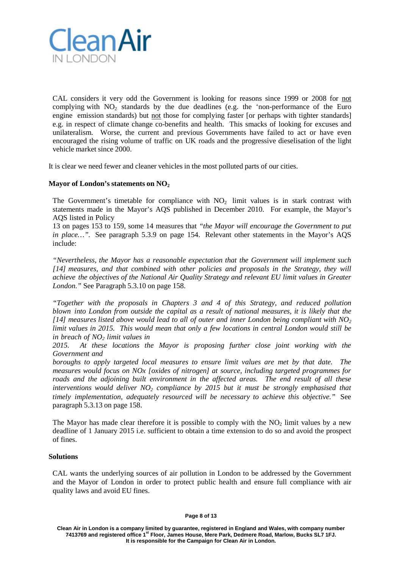

CAL considers it very odd the Government is looking for reasons since 1999 or 2008 for not complying with  $NO<sub>2</sub>$  standards by the due deadlines (e.g. the 'non-performance of the Euro engine emission standards) but not those for complying faster [or perhaps with tighter standards] e.g. in respect of climate change co-benefits and health. This smacks of looking for excuses and unilateralism. Worse, the current and previous Governments have failed to act or have even encouraged the rising volume of traffic on UK roads and the progressive dieselisation of the light vehicle market since 2000.

It is clear we need fewer and cleaner vehicles in the most polluted parts of our cities.

## **Mayor of London's statements on NO2**

The Government's timetable for compliance with  $NO<sub>2</sub>$  limit values is in stark contrast with statements made in the Mayor's AQS published in December 2010. For example, the Mayor's AQS listed in Policy

13 on pages 153 to 159, some 14 measures that *"the Mayor will encourage the Government to put in place…".* See paragraph 5.3.9 on page 154. Relevant other statements in the Mayor's AQS include:

*"Nevertheless, the Mayor has a reasonable expectation that the Government will implement such [14] measures, and that combined with other policies and proposals in the Strategy, they will achieve the objectives of the National Air Quality Strategy and relevant EU limit values in Greater London."* See Paragraph 5.3.10 on page 158.

*"Together with the proposals in Chapters 3 and 4 of this Strategy, and reduced pollution blown into London from outside the capital as a result of national measures, it is likely that the [14] measures listed above would lead to all of outer and inner London being compliant with NO2 limit values in 2015. This would mean that only a few locations in central London would still be in breach of NO2 limit values in*

*2015. At these locations the Mayor is proposing further close joint working with the Government and*

*boroughs to apply targeted local measures to ensure limit values are met by that date. The measures would focus on NOx [oxides of nitrogen] at source, including targeted programmes for roads and the adjoining built environment in the affected areas. The end result of all these interventions would deliver NO2 compliance by 2015 but it must be strongly emphasised that timely implementation, adequately resourced will be necessary to achieve this objective."* See paragraph 5.3.13 on page 158.

The Mayor has made clear therefore it is possible to comply with the  $NO<sub>2</sub>$  limit values by a new deadline of 1 January 2015 i.e. sufficient to obtain a time extension to do so and avoid the prospect of fines.

## **Solutions**

CAL wants the underlying sources of air pollution in London to be addressed by the Government and the Mayor of London in order to protect public health and ensure full compliance with air quality laws and avoid EU fines.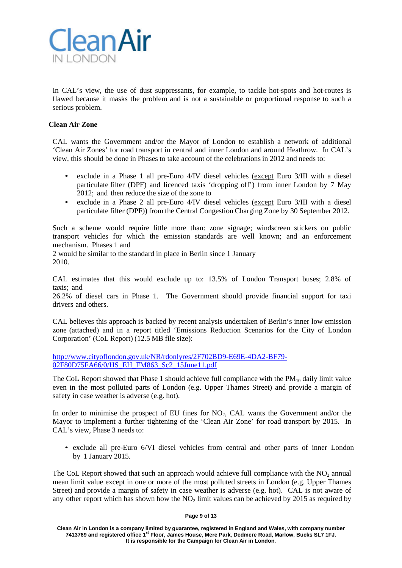

In CAL's view, the use of dust suppressants, for example, to tackle hot-spots and hot-routes is flawed because it masks the problem and is not a sustainable or proportional response to such a serious problem.

# **Clean Air Zone**

CAL wants the Government and/or the Mayor of London to establish a network of additional 'Clean Air Zones' for road transport in central and inner London and around Heathrow. In CAL's view, this should be done in Phases to take account of the celebrations in 2012 and needs to:

- exclude in a Phase 1 all pre-Euro 4/IV diesel vehicles (except Euro 3/III with a diesel particulate filter (DPF) and licenced taxis 'dropping off') from inner London by 7 May 2012; and then reduce the size of the zone to
- exclude in a Phase 2 all pre-Euro 4/IV diesel vehicles (except Euro 3/III with a diesel particulate filter (DPF)) from the Central Congestion Charging Zone by 30 September 2012.

Such a scheme would require little more than: zone signage; windscreen stickers on public transport vehicles for which the emission standards are well known; and an enforcement mechanism. Phases 1 and

2 would be similar to the standard in place in Berlin since 1 January 2010.

CAL estimates that this would exclude up to: 13.5% of London Transport buses; 2.8% of taxis; and

26.2% of diesel cars in Phase 1. The Government should provide financial support for taxi drivers and others.

CAL believes this approach is backed by recent analysis undertaken of Berlin's inner low emission zone (attached) and in a report titled 'Emissions Reduction Scenarios for the City of London Corporation' (CoL Report) (12.5 MB file size):

[http://www.cityoflondon.gov.uk/NR/rdonlyres/2F702BD9-E69E-4DA2-BF79-](http://www.cityoflondon.gov.uk/NR/rdonlyres/2F702BD9-E69E-4DA2-BF79-02F80D75FA66/0/HS_EH_FM863_Sc2_15June11.pdf) [02F80D75FA66/0/HS\\_EH\\_FM863\\_Sc2\\_15June11.pdf](http://www.cityoflondon.gov.uk/NR/rdonlyres/2F702BD9-E69E-4DA2-BF79-02F80D75FA66/0/HS_EH_FM863_Sc2_15June11.pdf)

The CoL Report showed that Phase 1 should achieve full compliance with the  $PM_{10}$  daily limit value even in the most polluted parts of London (e.g. Upper Thames Street) and provide a margin of safety in case weather is adverse (e.g. hot).

In order to minimise the prospect of EU fines for  $NO<sub>2</sub>$ , CAL wants the Government and/or the Mayor to implement a further tightening of the 'Clean Air Zone' for road transport by 2015. In CAL's view, Phase 3 needs to:

• exclude all pre-Euro 6/VI diesel vehicles from central and other parts of inner London by 1 January 2015.

The CoL Report showed that such an approach would achieve full compliance with the  $NO<sub>2</sub>$  annual mean limit value except in one or more of the most polluted streets in London (e.g. Upper Thames Street) and provide a margin of safety in case weather is adverse (e.g. hot). CAL is not aware of any other report which has shown how the  $NO<sub>2</sub>$  limit values can be achieved by 2015 as required by

### **Page 9 of 13**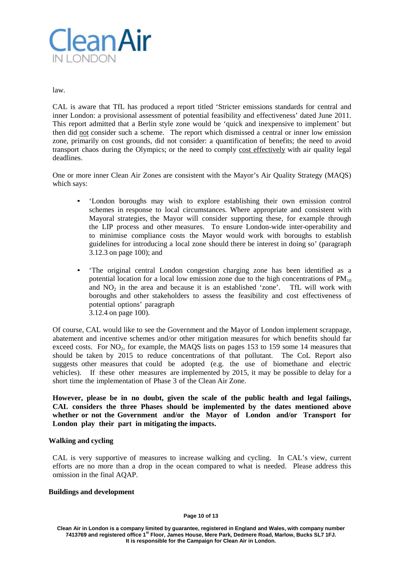

law.

CAL is aware that TfL has produced a report titled 'Stricter emissions standards for central and inner London: a provisional assessment of potential feasibility and effectiveness' dated June 2011. This report admitted that a Berlin style zone would be 'quick and inexpensive to implement' but then did not consider such a scheme. The report which dismissed a central or inner low emission zone, primarily on cost grounds, did not consider: a quantification of benefits; the need to avoid transport chaos during the Olympics; or the need to comply cost effectively with air quality legal deadlines.

One or more inner Clean Air Zones are consistent with the Mayor's Air Quality Strategy (MAQS) which says:

- 'London boroughs may wish to explore establishing their own emission control schemes in response to local circumstances. Where appropriate and consistent with Mayoral strategies, the Mayor will consider supporting these, for example through the LIP process and other measures. To ensure London-wide inter-operability and to minimise compliance costs the Mayor would work with boroughs to establish guidelines for introducing a local zone should there be interest in doing so' (paragraph 3.12.3 on page 100); and
- 'The original central London congestion charging zone has been identified as a potential location for a local low emission zone due to the high concentrations of  $PM_{10}$ and  $NO<sub>2</sub>$  in the area and because it is an established 'zone'. TfL will work with boroughs and other stakeholders to assess the feasibility and cost effectiveness of potential options' paragraph 3.12.4 on page 100).

Of course, CAL would like to see the Government and the Mayor of London implement scrappage, abatement and incentive schemes and/or other mitigation measures for which benefits should far exceed costs. For NO<sub>2</sub>, for example, the MAQS lists on pages 153 to 159 some 14 measures that should be taken by 2015 to reduce concentrations of that pollutant. The CoL Report also suggests other measures that could be adopted (e.g. the use of biomethane and electric vehicles). If these other measures are implemented by 2015, it may be possible to delay for a short time the implementation of Phase 3 of the Clean Air Zone.

**However, please be in no doubt, given the scale of the public health and legal failings, CAL considers the three Phases should be implemented by the dates mentioned above whether or not the Government and/or the Mayor of London and/or Transport for London play their part in mitigating the impacts.**

## **Walking and cycling**

CAL is very supportive of measures to increase walking and cycling. In CAL's view, current efforts are no more than a drop in the ocean compared to what is needed. Please address this omission in the final AQAP.

### **Buildings and development**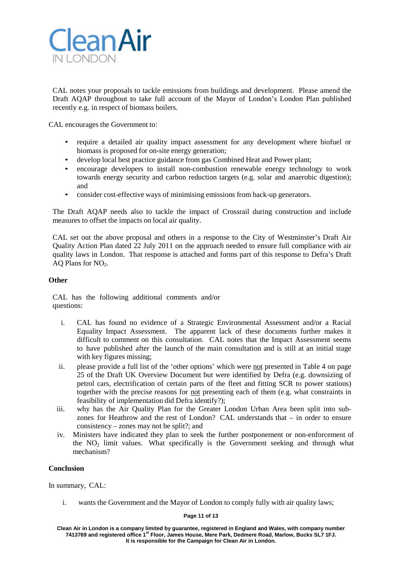

CAL notes your proposals to tackle emissions from buildings and development. Please amend the Draft AQAP throughout to take full account of the Mayor of London's London Plan published recently e.g. in respect of biomass boilers.

CAL encourages the Government to:

- require a detailed air quality impact assessment for any development where biofuel or biomass is proposed for on-site energy generation;
- develop local best practice guidance from gas Combined Heat and Power plant;
- encourage developers to install non-combustion renewable energy technology to work towards energy security and carbon reduction targets (e.g. solar and anaerobic digestion); and
- consider cost-effective ways of minimising emissions from back-up generators.

The Draft AQAP needs also to tackle the impact of Crossrail during construction and include measures to offset the impacts on local air quality.

CAL set out the above proposal and others in a response to the City of Westminster's Draft Air Quality Action Plan dated 22 July 2011 on the approach needed to ensure full compliance with air quality laws in London. That response is attached and forms part of this response to Defra's Draft AQ Plans for  $NO<sub>2</sub>$ .

## **Other**

CAL has the following additional comments and/or questions:

- i. CAL has found no evidence of a Strategic Environmental Assessment and/or a Racial Equality Impact Assessment. The apparent lack of these documents further makes it difficult to comment on this consultation. CAL notes that the Impact Assessment seems to have published after the launch of the main consultation and is still at an initial stage with key figures missing;
- ii. please provide a full list of the 'other options' which were not presented in Table 4 on page 25 of the Draft UK Overview Document but were identified by Defra (e.g. downsizing of petrol cars, electrification of certain parts of the fleet and fitting SCR to power stations) together with the precise reasons for not presenting each of them (e.g. what constraints in feasibility of implementation did Defra identify?);
- iii. why has the Air Quality Plan for the Greater London Urban Area been split into subzones for Heathrow and the rest of London? CAL understands that – in order to ensure consistency – zones may not be split?; and
- iv. Ministers have indicated they plan to seek the further postponement or non-enforcement of the  $NO<sub>2</sub>$  limit values. What specifically is the Government seeking and through what mechanism?

# **Conclusion**

In summary, CAL:

i. wants the Government and the Mayor of London to comply fully with air quality laws;

### **Page 11 of 13**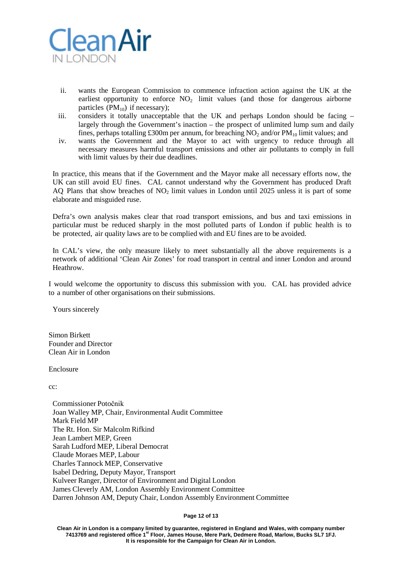

- ii. wants the European Commission to commence infraction action against the UK at the earliest opportunity to enforce  $NO<sub>2</sub>$  limit values (and those for dangerous airborne particles  $(PM_{10})$  if necessary);
- iii. considers it totally unacceptable that the UK and perhaps London should be facing largely through the Government's inaction – the prospect of unlimited lump sum and daily fines, perhaps totalling £300m per annum, for breaching  $NO_2$  and/or  $PM_{10}$  limit values; and
- iv. wants the Government and the Mayor to act with urgency to reduce through all necessary measures harmful transport emissions and other air pollutants to comply in full with limit values by their due deadlines.

In practice, this means that if the Government and the Mayor make all necessary efforts now, the UK can still avoid EU fines. CAL cannot understand why the Government has produced Draft AQ Plans that show breaches of  $NO<sub>2</sub>$  limit values in London until 2025 unless it is part of some elaborate and misguided ruse.

Defra's own analysis makes clear that road transport emissions, and bus and taxi emissions in particular must be reduced sharply in the most polluted parts of London if public health is to be protected, air quality laws are to be complied with and EU fines are to be avoided.

In CAL's view, the only measure likely to meet substantially all the above requirements is a network of additional 'Clean Air Zones' for road transport in central and inner London and around **Heathrow** 

I would welcome the opportunity to discuss this submission with you. CAL has provided advice to a number of other organisations on their submissions.

Yours sincerely

Simon Birkett Founder and Director Clean Air in London

Enclosure

cc:

Commissioner Potočnik Joan Walley MP, Chair, Environmental Audit Committee Mark Field MP The Rt. Hon. Sir Malcolm Rifkind Jean Lambert MEP, Green Sarah Ludford MEP, Liberal Democrat Claude Moraes MEP, Labour Charles Tannock MEP, Conservative Isabel Dedring, Deputy Mayor, Transport Kulveer Ranger, Director of Environment and Digital London James Cleverly AM, London Assembly Environment Committee Darren Johnson AM, Deputy Chair, London Assembly Environment Committee

**Page 12 of 13**